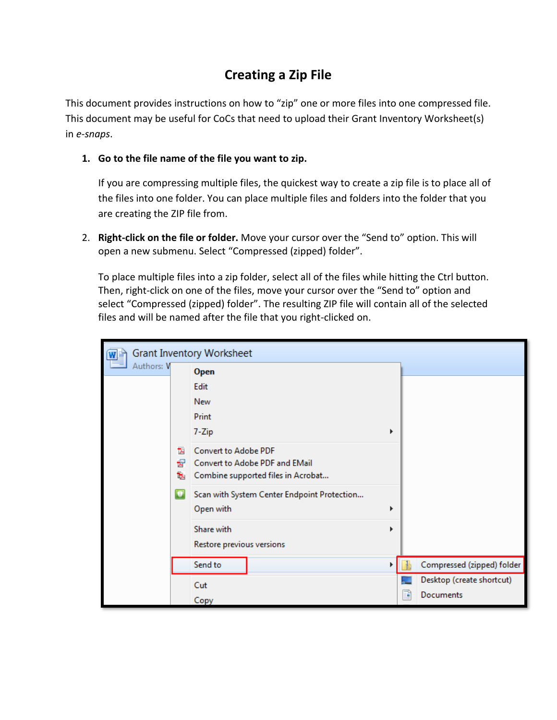## **Creating a Zip File**

This document provides instructions on how to "zip" one or more files into one compressed file. This document may be useful for CoCs that need to upload their Grant Inventory Worksheet(s) in *e-snaps*.

## **1. Go to the file name of the file you want to zip.**

If you are compressing multiple files, the quickest way to create a zip file is to place all of the files into one folder. You can place multiple files and folders into the folder that you are creating the ZIP file from.

2. **Right-click on the file or folder.** Move your cursor over the "Send to" option. This will open a new submenu. Select "Compressed (zipped) folder".

To place multiple files into a zip folder, select all of the files while hitting the Ctrl button. Then, right-click on one of the files, move your cursor over the "Send to" option and select "Compressed (zipped) folder". The resulting ZIP file will contain all of the selected files and will be named after the file that you right-clicked on.

|            |                          | <b>Grant Inventory Worksheet</b>            |   |   |                            |
|------------|--------------------------|---------------------------------------------|---|---|----------------------------|
| Authors: V |                          | <b>Open</b>                                 |   |   |                            |
|            | 快<br>毌<br>ъ<br>$\bullet$ | Edit                                        |   |   |                            |
|            |                          | <b>New</b>                                  |   |   |                            |
|            |                          | Print                                       |   |   |                            |
|            |                          | 7-Zip                                       |   |   |                            |
|            |                          | <b>Convert to Adobe PDF</b>                 |   |   |                            |
|            |                          | Convert to Adobe PDF and EMail              |   |   |                            |
|            |                          | Combine supported files in Acrobat          |   |   |                            |
|            |                          | Scan with System Center Endpoint Protection |   |   |                            |
|            |                          | Open with                                   | ▶ |   |                            |
|            |                          | Share with                                  |   |   |                            |
|            |                          | Restore previous versions                   |   |   |                            |
|            |                          | Send to                                     |   |   | Compressed (zipped) folder |
|            |                          | Cut                                         |   |   | Desktop (create shortcut)  |
|            |                          | Copy                                        |   | × | Documents                  |